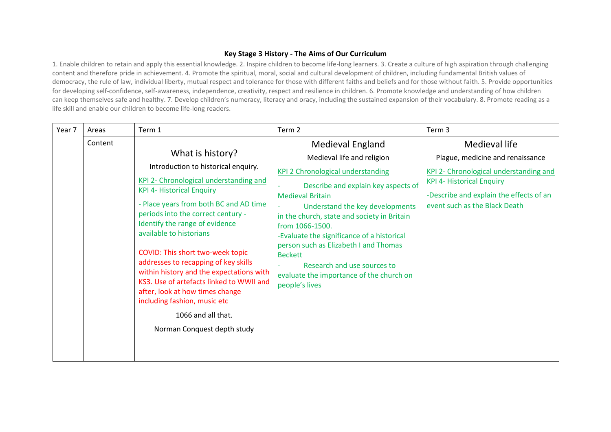## **Key Stage 3 History - The Aims of Our Curriculum**

1. Enable children to retain and apply this essential knowledge. 2. Inspire children to become life-long learners. 3. Create a culture of high aspiration through challenging content and therefore pride in achievement. 4. Promote the spiritual, moral, social and cultural development of children, including fundamental British values of democracy, the rule of law, individual liberty, mutual respect and tolerance for those with different faiths and beliefs and for those without faith. 5. Provide opportunities for developing self-confidence, self-awareness, independence, creativity, respect and resilience in children. 6. Promote knowledge and understanding of how children can keep themselves safe and healthy. 7. Develop children's numeracy, literacy and oracy, including the sustained expansion of their vocabulary. 8. Promote reading as a life skill and enable our children to become life-long readers.

| Year 7 | Areas   | Term 1                                                                                                                                                                                                                                                                                                                                                                                                                                                                                                                                                                         | Term 2                                                                                                                                                                                                                                                                                                                                                                                                                                                                         | Term <sub>3</sub>                                                                                                                                                                                           |
|--------|---------|--------------------------------------------------------------------------------------------------------------------------------------------------------------------------------------------------------------------------------------------------------------------------------------------------------------------------------------------------------------------------------------------------------------------------------------------------------------------------------------------------------------------------------------------------------------------------------|--------------------------------------------------------------------------------------------------------------------------------------------------------------------------------------------------------------------------------------------------------------------------------------------------------------------------------------------------------------------------------------------------------------------------------------------------------------------------------|-------------------------------------------------------------------------------------------------------------------------------------------------------------------------------------------------------------|
|        | Content | What is history?<br>Introduction to historical enquiry.<br>KPI 2- Chronological understanding and<br><b>KPI 4- Historical Enquiry</b><br>- Place years from both BC and AD time<br>periods into the correct century -<br>Identify the range of evidence<br>available to historians<br>COVID: This short two-week topic<br>addresses to recapping of key skills<br>within history and the expectations with<br>KS3. Use of artefacts linked to WWII and<br>after, look at how times change<br>including fashion, music etc<br>1066 and all that.<br>Norman Conquest depth study | <b>Medieval England</b><br>Medieval life and religion<br><b>KPI 2 Chronological understanding</b><br>Describe and explain key aspects of<br><b>Medieval Britain</b><br>Understand the key developments<br>in the church, state and society in Britain<br>from 1066-1500.<br>-Evaluate the significance of a historical<br>person such as Elizabeth I and Thomas<br><b>Beckett</b><br>Research and use sources to<br>evaluate the importance of the church on<br>people's lives | Medieval life<br>Plague, medicine and renaissance<br>KPI 2- Chronological understanding and<br><b>KPI 4- Historical Enquiry</b><br>-Describe and explain the effects of an<br>event such as the Black Death |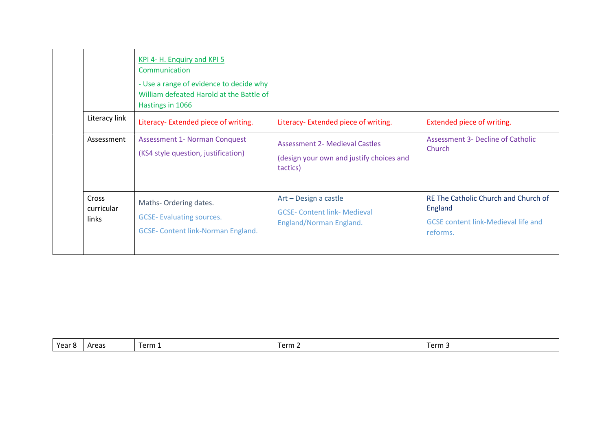|                              | KPI 4- H. Enquiry and KPI 5<br>Communication<br>- Use a range of evidence to decide why<br>William defeated Harold at the Battle of<br>Hastings in 1066 |                                                                                               |                                                                                                           |
|------------------------------|---------------------------------------------------------------------------------------------------------------------------------------------------------|-----------------------------------------------------------------------------------------------|-----------------------------------------------------------------------------------------------------------|
| Literacy link                | Literacy-Extended piece of writing.                                                                                                                     | Literacy-Extended piece of writing.                                                           | Extended piece of writing.                                                                                |
| Assessment                   | <b>Assessment 1- Norman Conquest</b><br>(KS4 style question, justification)                                                                             | <b>Assessment 2- Medieval Castles</b><br>(design your own and justify choices and<br>tactics) | <b>Assessment 3- Decline of Catholic</b><br>Church                                                        |
| Cross<br>curricular<br>links | Maths-Ordering dates.<br><b>GCSE-Evaluating sources.</b><br><b>GCSE- Content link-Norman England.</b>                                                   | Art - Design a castle<br><b>GCSE- Content link- Medieval</b><br>England/Norman England.       | RE The Catholic Church and Church of<br>England<br><b>GCSE content link-Medieval life and</b><br>reforms. |

| $\ddot{\phantom{1}}$<br>Year 8 | Areas | $Term \; \text{-}$ | ाerm ∠ | $\overline{\phantom{a}}$<br>Term 3 |
|--------------------------------|-------|--------------------|--------|------------------------------------|
|--------------------------------|-------|--------------------|--------|------------------------------------|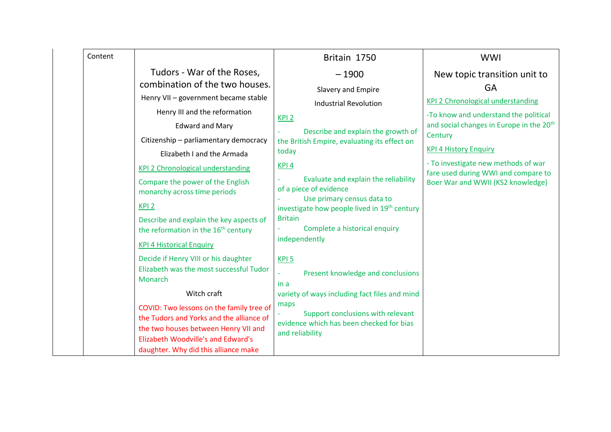| Content |                                                                                                                                                                                                                   | Britain 1750                                                                                             | <b>WWI</b>                                                                 |
|---------|-------------------------------------------------------------------------------------------------------------------------------------------------------------------------------------------------------------------|----------------------------------------------------------------------------------------------------------|----------------------------------------------------------------------------|
|         | Tudors - War of the Roses,                                                                                                                                                                                        | $-1900$                                                                                                  | New topic transition unit to                                               |
|         | combination of the two houses.                                                                                                                                                                                    | <b>Slavery and Empire</b>                                                                                | GA                                                                         |
|         | Henry VII - government became stable                                                                                                                                                                              | <b>Industrial Revolution</b>                                                                             | <b>KPI 2 Chronological understanding</b>                                   |
|         | Henry III and the reformation                                                                                                                                                                                     | KPI <sub>2</sub>                                                                                         | -To know and understand the political                                      |
|         | <b>Edward and Mary</b>                                                                                                                                                                                            | Describe and explain the growth of                                                                       | and social changes in Europe in the 20 <sup>th</sup>                       |
|         | Citizenship - parliamentary democracy                                                                                                                                                                             | the British Empire, evaluating its effect on                                                             | Century                                                                    |
|         | Elizabeth I and the Armada                                                                                                                                                                                        | today                                                                                                    | <b>KPI 4 History Enquiry</b>                                               |
|         | <b>KPI 2 Chronological understanding</b>                                                                                                                                                                          | KPI <sub>4</sub>                                                                                         | - To investigate new methods of war<br>fare used during WWI and compare to |
|         | Compare the power of the English<br>monarchy across time periods                                                                                                                                                  | Evaluate and explain the reliability<br>of a piece of evidence<br>Use primary census data to             | Boer War and WWII (KS2 knowledge)                                          |
|         | KPI <sub>2</sub>                                                                                                                                                                                                  | investigate how people lived in 19 <sup>th</sup> century                                                 |                                                                            |
|         | Describe and explain the key aspects of<br>the reformation in the 16 <sup>th</sup> century                                                                                                                        | <b>Britain</b><br>Complete a historical enquiry                                                          |                                                                            |
|         | <b>KPI 4 Historical Enquiry</b>                                                                                                                                                                                   | independently                                                                                            |                                                                            |
|         | Decide if Henry VIII or his daughter<br>Elizabeth was the most successful Tudor<br>Monarch                                                                                                                        | KPI <sub>5</sub><br>Present knowledge and conclusions<br>in a                                            |                                                                            |
|         | Witch craft                                                                                                                                                                                                       | variety of ways including fact files and mind                                                            |                                                                            |
|         | COVID: Two lessons on the family tree of<br>the Tudors and Yorks and the alliance of<br>the two houses between Henry VII and<br><b>Elizabeth Woodville's and Edward's</b><br>daughter. Why did this alliance make | maps<br>Support conclusions with relevant<br>evidence which has been checked for bias<br>and reliability |                                                                            |